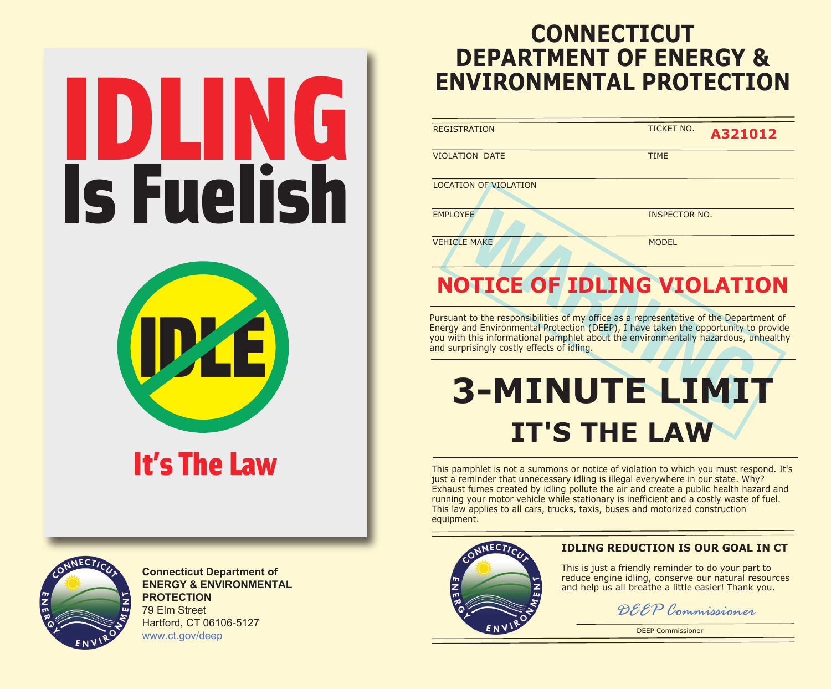# IDLING Is Fuelish



# It's The Law



**Connecticut Department of ENERGY & ENVIRONMENTAL PROTECTION** 79 Elm Street Hartford, CT 06106-5127 www.ct.gov/deep

## **CONNECTICUT DEPARTMENT OF ENERGY & ENVIRONMENTAL PROTECTION**

| <b>REGISTRATION</b> | <b>TICKET NO.</b> |
|---------------------|-------------------|
|                     |                   |

**A321012**

VIOLATION DATE TIME

LOCATION OF VIOLATION

EMPLOYEE INSPECTOR NO.

VEHICLE MAKE

MODEL

## **NOTICE OF IDLING VIOLATION**

Pursuant to the responsibilities of my office as a representative of the Department of Energy and Environmental Protection (DEEP), I have taken the opportunity to provide you with this informational pamphlet about the environmentally hazardous, unhealthy and surprisingly costly effects of idling.

# **3-MINUTE LIMIT IT'S THE LAW**

This pamphlet is not a summons or notice of violation to which you must respond. It's just a reminder that unnecessary idling is illegal everywhere in our state. Why? Exhaust fumes created by idling pollute the air and create a public health hazard and running your motor vehicle while stationary is inefficient and a costly waste of fuel. This law applies to all cars, trucks, taxis, buses and motorized construction equipment.



#### **IDLING REDUCTION IS OUR GOAL IN CT**

This is just a friendly reminder to do your part to reduce engine idling, conserve our natural resources and help us all breathe a little easier! Thank you.



DEEP Commissioner